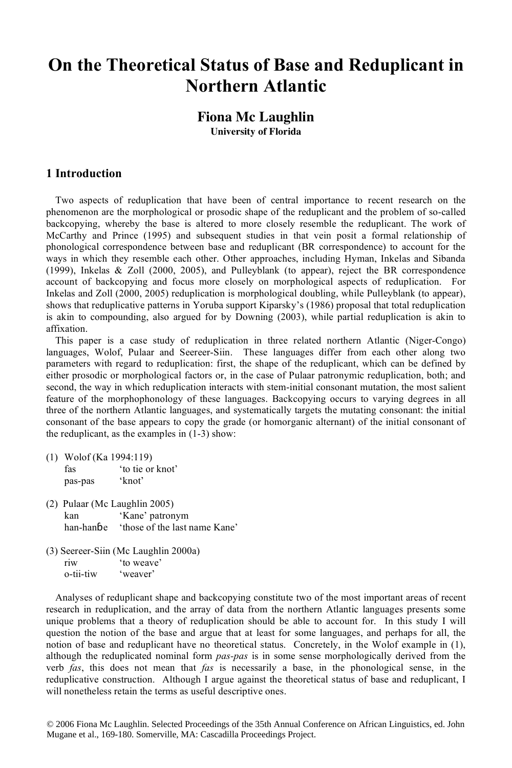## **On the Theoretical Status of Base and Reduplicant in Northern Atlantic**

## **Fiona Mc Laughlin University of Florida**

### **1 Introduction**

Two aspects of reduplication that have been of central importance to recent research on the phenomenon are the morphological or prosodic shape of the reduplicant and the problem of so-called backcopying, whereby the base is altered to more closely resemble the reduplicant. The work of McCarthy and Prince (1995) and subsequent studies in that vein posit a formal relationship of phonological correspondence between base and reduplicant (BR correspondence) to account for the ways in which they resemble each other. Other approaches, including Hyman, Inkelas and Sibanda (1999), Inkelas & Zoll (2000, 2005), and Pulleyblank (to appear), reject the BR correspondence account of backcopying and focus more closely on morphological aspects of reduplication. For Inkelas and Zoll (2000, 2005) reduplication is morphological doubling, while Pulleyblank (to appear), shows that reduplicative patterns in Yoruba support Kiparsky's (1986) proposal that total reduplication is akin to compounding, also argued for by Downing (2003), while partial reduplication is akin to affixation.

This paper is a case study of reduplication in three related northern Atlantic (Niger-Congo) languages, Wolof, Pulaar and Seereer-Siin. These languages differ from each other along two parameters with regard to reduplication: first, the shape of the reduplicant, which can be defined by either prosodic or morphological factors or, in the case of Pulaar patronymic reduplication, both; and second, the way in which reduplication interacts with stem-initial consonant mutation, the most salient feature of the morphophonology of these languages. Backcopying occurs to varying degrees in all three of the northern Atlantic languages, and systematically targets the mutating consonant: the initial consonant of the base appears to copy the grade (or homorganic alternant) of the initial consonant of the reduplicant, as the examples in (1-3) show:

- (1) Wolof (Ka 1994:119)
	- fas 'to tie or knot' pas-pas 'knot'
- (2) Pulaar (Mc Laughlin 2005) kan 'Kane' patronym han-hanɓe 'those of the last name Kane'
- (3) Seereer-Siin (Mc Laughlin 2000a) riw 'to weave' o-tii-tiw 'weaver'

Analyses of reduplicant shape and backcopying constitute two of the most important areas of recent research in reduplication, and the array of data from the northern Atlantic languages presents some unique problems that a theory of reduplication should be able to account for. In this study I will question the notion of the base and argue that at least for some languages, and perhaps for all, the notion of base and reduplicant have no theoretical status. Concretely, in the Wolof example in (1), although the reduplicated nominal form *pas-pas* is in some sense morphologically derived from the verb *fas*, this does not mean that *fas* is necessarily a base, in the phonological sense, in the reduplicative construction. Although I argue against the theoretical status of base and reduplicant, I will nonetheless retain the terms as useful descriptive ones.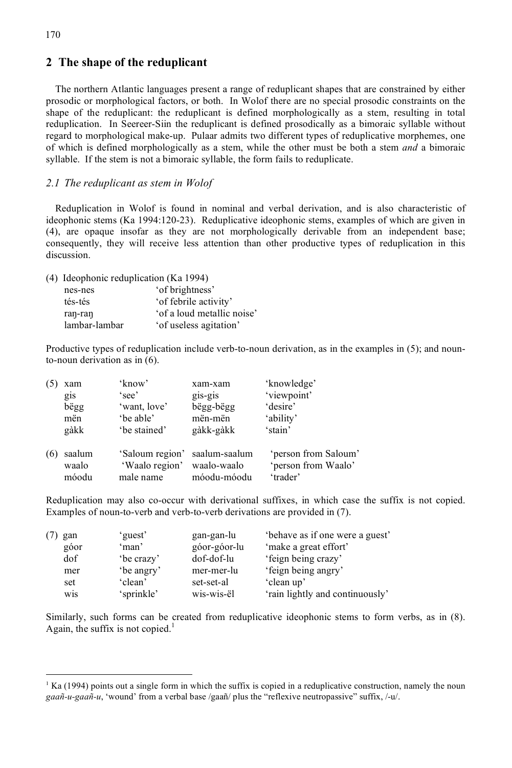### **2 The shape of the reduplicant**

The northern Atlantic languages present a range of reduplicant shapes that are constrained by either prosodic or morphological factors, or both. In Wolof there are no special prosodic constraints on the shape of the reduplicant: the reduplicant is defined morphologically as a stem, resulting in total reduplication. In Seereer-Siin the reduplicant is defined prosodically as a bimoraic syllable without regard to morphological make-up. Pulaar admits two different types of reduplicative morphemes, one of which is defined morphologically as a stem, while the other must be both a stem *and* a bimoraic syllable. If the stem is not a bimoraic syllable, the form fails to reduplicate.

#### *2.1 The reduplicant as stem in Wolof*

Reduplication in Wolof is found in nominal and verbal derivation, and is also characteristic of ideophonic stems (Ka 1994:120-23). Reduplicative ideophonic stems, examples of which are given in (4), are opaque insofar as they are not morphologically derivable from an independent base; consequently, they will receive less attention than other productive types of reduplication in this discussion.

(4) Ideophonic reduplication (Ka 1994)

| 'of brightness'            |
|----------------------------|
| 'of febrile activity'      |
| 'of a loud metallic noise' |
| 'of useless agitation'     |
|                            |

Productive types of reduplication include verb-to-noun derivation, as in the examples in (5); and nounto-noun derivation as in (6).

|     | xam    | 'know'          | xam-xam       | 'knowledge'          |
|-----|--------|-----------------|---------------|----------------------|
|     | gis    | 'see'           | gis-gis       | 'viewpoint'          |
|     | bëgg   | 'want, love'    | bëgg-bëgg     | 'desire'             |
|     | mën    | 'be able'       | mën-mën       | 'ability'            |
|     | gàkk   | 'be stained'    | gàkk-gàkk     | 'stain'              |
| (6) | saalum | 'Saloum region' | saalum-saalum | 'person from Saloum' |
|     | waalo  | 'Waalo region'  | waalo-waalo   | 'person from Waalo'  |
|     | móodu  | male name       | móodu-móodu   | 'trader'             |

Reduplication may also co-occur with derivational suffixes, in which case the suffix is not copied. Examples of noun-to-verb and verb-to-verb derivations are provided in (7).

| gan  | 'guest'    | gan-gan-lu   | behave as if one were a guest'  |
|------|------------|--------------|---------------------------------|
| góor | 'man'      | góor-góor-lu | 'make a great effort'           |
| dof  | be crazy   | dof-dof-lu   | 'feign being crazy'             |
| mer  | 'be angry' | mer-mer-lu   | 'feign being angry'             |
| set  | 'clean'    | set-set-al   | 'clean up'                      |
| wis  | 'sprinkle' | wis-wis-ël   | 'rain lightly and continuously' |

Similarly, such forms can be created from reduplicative ideophonic stems to form verbs, as in (8). Again, the suffix is not copied.<sup>1</sup>

 $\frac{1}{1}$  $K<sup>1</sup>$  Ka (1994) points out a single form in which the suffix is copied in a reduplicative construction, namely the noun *gaañ-u-gaañ-u*, 'wound' from a verbal base /gaañ/ plus the "reflexive neutropassive" suffix, /-u/.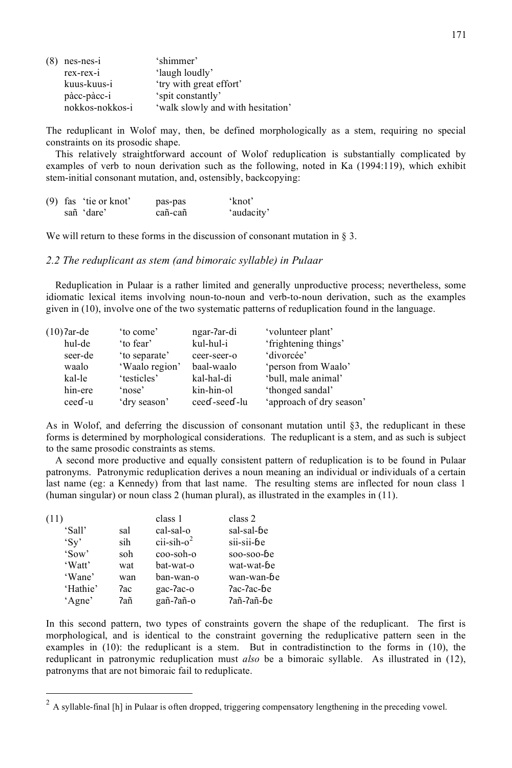| $(8)$ nes-nes-i | 'shimmer'                         |
|-----------------|-----------------------------------|
| $rex-rex-i$     | 'laugh loudly'                    |
| kuus-kuus-i     | 'try with great effort'           |
| pàcc-pàcc-i     | 'spit constantly'                 |
| nokkos-nokkos-i | 'walk slowly and with hesitation' |

The reduplicant in Wolof may, then, be defined morphologically as a stem, requiring no special constraints on its prosodic shape.

This relatively straightforward account of Wolof reduplication is substantially complicated by examples of verb to noun derivation such as the following, noted in Ka (1994:119), which exhibit stem-initial consonant mutation, and, ostensibly, backcopying:

|  | $(9)$ fas 'tie or knot' | pas-pas | 'knot'     |
|--|-------------------------|---------|------------|
|  | sañ 'dare'              | cañ-cañ | 'audacity' |

We will return to these forms in the discussion of consonant mutation in § 3.

#### *2.2 The reduplicant as stem (and bimoraic syllable) in Pulaar*

Reduplication in Pulaar is a rather limited and generally unproductive process; nevertheless, some idiomatic lexical items involving noun-to-noun and verb-to-noun derivation, such as the examples given in (10), involve one of the two systematic patterns of reduplication found in the language.

| $(10)$ ?ar-de | 'to come'      | ngar-?ar-di  | 'volunteer plant'        |
|---------------|----------------|--------------|--------------------------|
| hul-de        | 'to fear'      | kul-hul-i    | 'frightening things'     |
| seer-de       | 'to separate'  | ceer-seer-o  | 'divorcée'               |
| waalo         | 'Waalo region' | baal-waalo   | 'person from Waalo'      |
| kal-le        | 'testicles'    | kal-hal-di   | 'bull, male animal'      |
| hin-ere       | 'nose'         | kin-hin-ol   | 'thonged sandal'         |
| ceed-u        | 'dry season'   | ceed-seed-lu | 'approach of dry season' |

As in Wolof, and deferring the discussion of consonant mutation until §3, the reduplicant in these forms is determined by morphological considerations. The reduplicant is a stem, and as such is subject to the same prosodic constraints as stems.

A second more productive and equally consistent pattern of reduplication is to be found in Pulaar patronyms. Patronymic reduplication derives a noun meaning an individual or individuals of a certain last name (eg: a Kennedy) from that last name. The resulting stems are inflected for noun class 1 (human singular) or noun class 2 (human plural), as illustrated in the examples in (11).

| (11)                       |     | class 1     | class 2    |
|----------------------------|-----|-------------|------------|
| 'Sall'                     | sal | cal-sal-o   | sal-sal-be |
| $^{\circ}$ Sv <sup>2</sup> | sih | $ci-sih-o2$ | sii-sii-be |
| 'Sow'                      | soh | coo-soh-o   | soo-soo-be |
| 'Watt'                     | wat | bat-wat-o   | wat-wat-be |
| 'Wane'                     | wan | ban-wan-o   | wan-wan-be |
| 'Hathie'                   | 7ac | gac-7ac-o   | Pac-Pac-be |
| 'Agne'                     | 7añ | gañ-?añ-o   | 7añ-7añ-be |

In this second pattern, two types of constraints govern the shape of the reduplicant. The first is morphological, and is identical to the constraint governing the reduplicative pattern seen in the examples in (10): the reduplicant is a stem. But in contradistinction to the forms in (10), the reduplicant in patronymic reduplication must *also* be a bimoraic syllable. As illustrated in (12), patronyms that are not bimoraic fail to reduplicate.

 $2$  A syllable-final [h] in Pulaar is often dropped, triggering compensatory lengthening in the preceding vowel.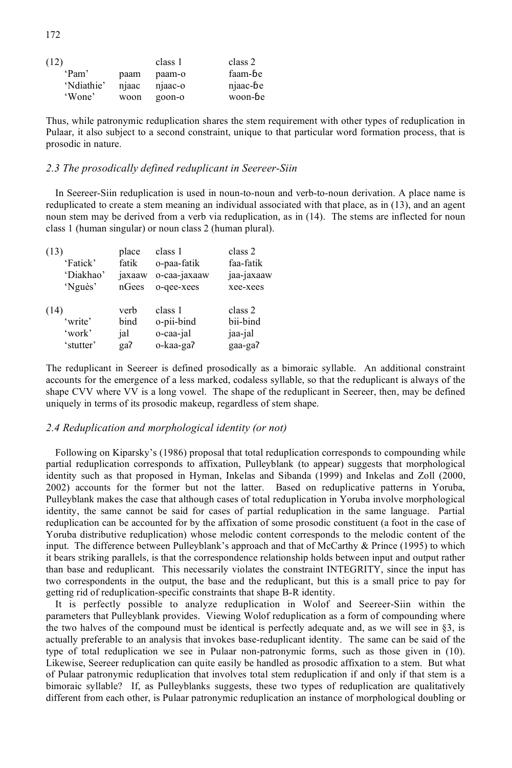| (12)       |       | class 1 | class 2  |
|------------|-------|---------|----------|
| 'Pam'      | paam  | paam-o  | faam-be  |
| 'Ndiathie' | njaac | njaac-o | njaac-be |
| 'Wone'     | woon  | goon-o  | woon-be  |

Thus, while patronymic reduplication shares the stem requirement with other types of reduplication in Pulaar, it also subject to a second constraint, unique to that particular word formation process, that is prosodic in nature.

#### *2.3 The prosodically defined reduplicant in Seereer-Siin*

In Seereer-Siin reduplication is used in noun-to-noun and verb-to-noun derivation. A place name is reduplicated to create a stem meaning an individual associated with that place, as in (13), and an agent noun stem may be derived from a verb via reduplication, as in (14). The stems are inflected for noun class 1 (human singular) or noun class 2 (human plural).

| (13)      | place  | class 1      | class 2    |
|-----------|--------|--------------|------------|
| 'Fatick'  | fatik  | o-paa-fatik  | faa-fatik  |
| 'Diakhao' | jaxaaw | o-caa-jaxaaw | jaa-jaxaaw |
| 'Nguès'   | nGees  | o-qee-xees   | xee-xees   |
| (14)      | verb   | class 1      | class 2    |
| 'write'   | bind   | o-pii-bind   | bii-bind   |
| 'work'    | jal    | o-caa-jal    | jaa-jal    |
| 'stutter' | ga?    | o-kaa-ga?    | gaa-ga?    |

The reduplicant in Seereer is defined prosodically as a bimoraic syllable. An additional constraint accounts for the emergence of a less marked, codaless syllable, so that the reduplicant is always of the shape CVV where VV is a long vowel. The shape of the reduplicant in Seereer, then, may be defined uniquely in terms of its prosodic makeup, regardless of stem shape.

#### *2.4 Reduplication and morphological identity (or not)*

Following on Kiparsky's (1986) proposal that total reduplication corresponds to compounding while partial reduplication corresponds to affixation, Pulleyblank (to appear) suggests that morphological identity such as that proposed in Hyman, Inkelas and Sibanda (1999) and Inkelas and Zoll (2000, 2002) accounts for the former but not the latter. Based on reduplicative patterns in Yoruba, Pulleyblank makes the case that although cases of total reduplication in Yoruba involve morphological identity, the same cannot be said for cases of partial reduplication in the same language. Partial reduplication can be accounted for by the affixation of some prosodic constituent (a foot in the case of Yoruba distributive reduplication) whose melodic content corresponds to the melodic content of the input. The difference between Pulleyblank's approach and that of McCarthy & Prince (1995) to which it bears striking parallels, is that the correspondence relationship holds between input and output rather than base and reduplicant. This necessarily violates the constraint INTEGRITY, since the input has two correspondents in the output, the base and the reduplicant, but this is a small price to pay for getting rid of reduplication-specific constraints that shape B-R identity.

It is perfectly possible to analyze reduplication in Wolof and Seereer-Siin within the parameters that Pulleyblank provides. Viewing Wolof reduplication as a form of compounding where the two halves of the compound must be identical is perfectly adequate and, as we will see in §3, is actually preferable to an analysis that invokes base-reduplicant identity. The same can be said of the type of total reduplication we see in Pulaar non-patronymic forms, such as those given in (10). Likewise, Seereer reduplication can quite easily be handled as prosodic affixation to a stem. But what of Pulaar patronymic reduplication that involves total stem reduplication if and only if that stem is a bimoraic syllable? If, as Pulleyblanks suggests, these two types of reduplication are qualitatively different from each other, is Pulaar patronymic reduplication an instance of morphological doubling or

172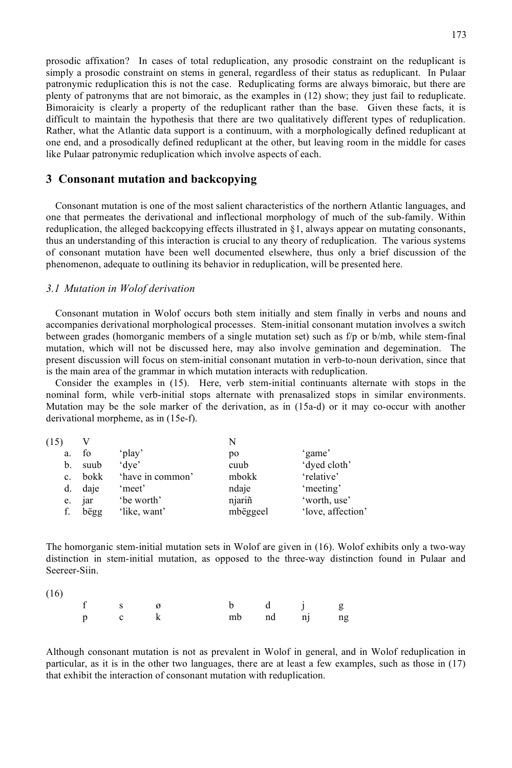prosodic affixation? In cases of total reduplication, any prosodic constraint on the reduplicant is simply a prosodic constraint on stems in general, regardless of their status as reduplicant. In Pulaar patronymic reduplication this is not the case. Reduplicating forms are always bimoraic, but there are plenty of patronyms that are not bimoraic, as the examples in (12) show; they just fail to reduplicate. Bimoraicity is clearly a property of the reduplicant rather than the base. Given these facts, it is difficult to maintain the hypothesis that there are two qualitatively different types of reduplication. Rather, what the Atlantic data support is a continuum, with a morphologically defined reduplicant at one end, and a prosodically defined reduplicant at the other, but leaving room in the middle for cases like Pulaar patronymic reduplication which involve aspects of each.

#### **3 Consonant mutation and backcopying**

Consonant mutation is one of the most salient characteristics of the northern Atlantic languages, and one that permeates the derivational and inflectional morphology of much of the sub-family. Within reduplication, the alleged backcopying effects illustrated in §1, always appear on mutating consonants, thus an understanding of this interaction is crucial to any theory of reduplication. The various systems of consonant mutation have been well documented elsewhere, thus only a brief discussion of the phenomenon, adequate to outlining its behavior in reduplication, will be presented here.

#### *3.1 Mutation in Wolof derivation*

Consonant mutation in Wolof occurs both stem initially and stem finally in verbs and nouns and accompanies derivational morphological processes. Stem-initial consonant mutation involves a switch between grades (homorganic members of a single mutation set) such as f/p or b/mb, while stem-final mutation, which will not be discussed here, may also involve gemination and degemination. The present discussion will focus on stem-initial consonant mutation in verb-to-noun derivation, since that is the main area of the grammar in which mutation interacts with reduplication.

Consider the examples in (15). Here, verb stem-initial continuants alternate with stops in the nominal form, while verb-initial stops alternate with prenasalized stops in similar environments. Mutation may be the sole marker of the derivation, as in (15a-d) or it may co-occur with another derivational morpheme, as in (15e-f).

| (15) |      |                  |          |                   |
|------|------|------------------|----------|-------------------|
| a.   | fo   | 'play'           | po       | 'game'            |
| b.   | suub | 'dye'            | cuub     | 'dyed cloth'      |
| c.   | bokk | 'have in common' | mbokk    | 'relative'        |
| d.   | daje | 'meet'           | ndaje    | 'meeting'         |
| e.   | jar  | be worth'        | njariñ   | 'worth, use'      |
| f.   | bëgg | 'like, want'     | mbëggeel | 'love, affection' |

The homorganic stem-initial mutation sets in Wolof are given in (16). Wolof exhibits only a two-way distinction in stem-initial mutation, as opposed to the three-way distinction found in Pulaar and Seereer-Siin.

(16)

| f s $\emptyset$ |  |  | b d j g     |  |
|-----------------|--|--|-------------|--|
| $p$ c $k$       |  |  | mb nd nj ng |  |

Although consonant mutation is not as prevalent in Wolof in general, and in Wolof reduplication in particular, as it is in the other two languages, there are at least a few examples, such as those in (17) that exhibit the interaction of consonant mutation with reduplication.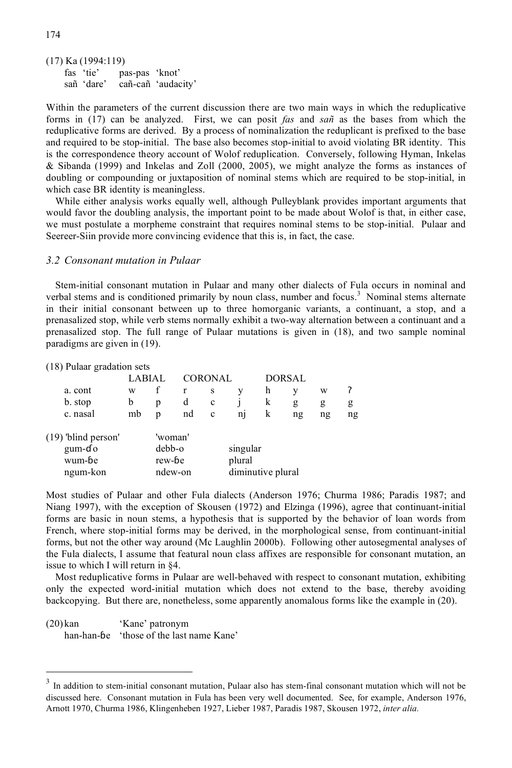(17) Ka (1994:119) fas 'tie' pas-pas 'knot' sañ 'dare' cañ-cañ 'audacity'

Within the parameters of the current discussion there are two main ways in which the reduplicative forms in (17) can be analyzed. First, we can posit *fas* and *sañ* as the bases from which the reduplicative forms are derived. By a process of nominalization the reduplicant is prefixed to the base and required to be stop-initial. The base also becomes stop-initial to avoid violating BR identity. This is the correspondence theory account of Wolof reduplication. Conversely, following Hyman, Inkelas & Sibanda (1999) and Inkelas and Zoll (2000, 2005), we might analyze the forms as instances of doubling or compounding or juxtaposition of nominal stems which are required to be stop-initial, in which case BR identity is meaningless.

While either analysis works equally well, although Pulleyblank provides important arguments that would favor the doubling analysis, the important point to be made about Wolof is that, in either case, we must postulate a morpheme constraint that requires nominal stems to be stop-initial. Pulaar and Seereer-Siin provide more convincing evidence that this is, in fact, the case.

#### *3.2 Consonant mutation in Pulaar*

Stem-initial consonant mutation in Pulaar and many other dialects of Fula occurs in nominal and verbal stems and is conditioned primarily by noun class, number and focus.<sup>3</sup> Nominal stems alternate in their initial consonant between up to three homorganic variants, a continuant, a stop, and a prenasalized stop, while verb stems normally exhibit a two-way alternation between a continuant and a prenasalized stop. The full range of Pulaar mutations is given in (18), and two sample nominal paradigms are given in (19).

(18) Pulaar gradation sets

|                                 | CORONAL<br>LABIAI |                   |         |                             |                             | <b>DORSAL</b> |         |         |         |
|---------------------------------|-------------------|-------------------|---------|-----------------------------|-----------------------------|---------------|---------|---------|---------|
| a. cont                         | W                 |                   |         | S                           |                             | h             | v       | W       |         |
| b. stop<br>c. nasal             | b<br>mb           | p<br>D            | d<br>nd | $\mathbf c$<br>$\mathbf{c}$ | n1                          | k<br>k        | g<br>ng | g<br>ng | g<br>ng |
| $(19)$ 'blind person'<br>gum-do |                   | 'woman'<br>debb-o |         |                             | singular                    |               |         |         |         |
| wum-be<br>ngum-kon              |                   | rew-be<br>ndew-on |         |                             | plural<br>diminutive plural |               |         |         |         |

Most studies of Pulaar and other Fula dialects (Anderson 1976; Churma 1986; Paradis 1987; and Niang 1997), with the exception of Skousen (1972) and Elzinga (1996), agree that continuant-initial forms are basic in noun stems, a hypothesis that is supported by the behavior of loan words from French, where stop-initial forms may be derived, in the morphological sense, from continuant-initial forms, but not the other way around (Mc Laughlin 2000b). Following other autosegmental analyses of the Fula dialects, I assume that featural noun class affixes are responsible for consonant mutation, an issue to which I will return in §4.

Most reduplicative forms in Pulaar are well-behaved with respect to consonant mutation, exhibiting only the expected word-initial mutation which does not extend to the base, thereby avoiding backcopying. But there are, nonetheless, some apparently anomalous forms like the example in (20).

(20) kan 'Kane' patronym han-han-ɓe 'those of the last name Kane'

 $3$  In addition to stem-initial consonant mutation, Pulaar also has stem-final consonant mutation which will not be discussed here. Consonant mutation in Fula has been very well documented. See, for example, Anderson 1976, Arnott 1970, Churma 1986, Klingenheben 1927, Lieber 1987, Paradis 1987, Skousen 1972, *inter alia.*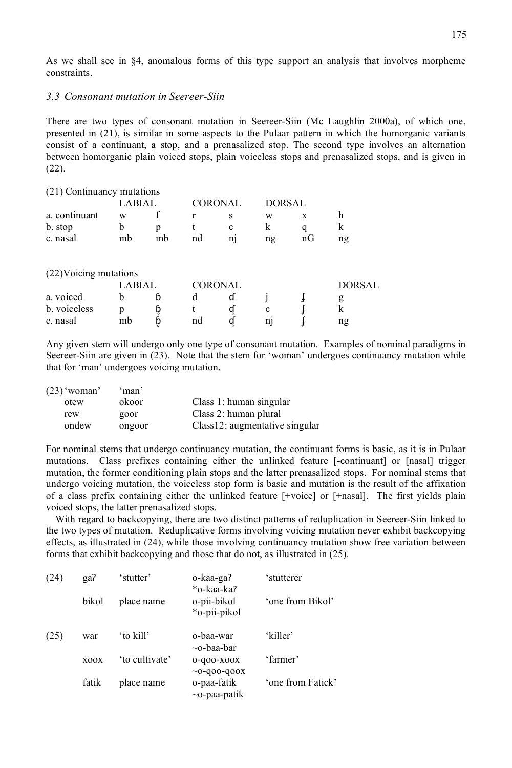As we shall see in §4, anomalous forms of this type support an analysis that involves morpheme constraints.

#### *3.3 Consonant mutation in Seereer-Siin*

There are two types of consonant mutation in Seereer-Siin (Mc Laughlin 2000a), of which one, presented in (21), is similar in some aspects to the Pulaar pattern in which the homorganic variants consist of a continuant, a stop, and a prenasalized stop. The second type involves an alternation between homorganic plain voiced stops, plain voiceless stops and prenasalized stops, and is given in (22).

| (21) Continuancy mutations |        |    |    |                |               |                     |        |
|----------------------------|--------|----|----|----------------|---------------|---------------------|--------|
|                            | LABIAL |    |    | <b>CORONAL</b> | <b>DORSAL</b> |                     |        |
| a. continuant              | w      |    |    | S              | W             | X                   | h      |
| b. stop                    | b      | р  |    | $\mathbf c$    | k             | q                   | k      |
| c. nasal                   | mb     | mb | nd | n              | ng            | $\operatorname{nG}$ | ng     |
| (22) Voicing mutations     |        |    |    |                |               |                     |        |
|                            | LABIAL |    |    | <b>CORONAL</b> |               |                     | DORSAL |
| a. voiced                  | b      | b  | d  | ď              |               |                     | g      |
| b. voiceless               | р      | þ  |    | d              | c             |                     | k      |
| c. nasal                   | mb     |    | nd |                | n1            |                     | ng     |

Any given stem will undergo only one type of consonant mutation. Examples of nominal paradigms in Seereer-Siin are given in (23). Note that the stem for 'woman' undergoes continuancy mutation while that for 'man' undergoes voicing mutation.

| $(23)$ 'woman' | 'man'  |                                |
|----------------|--------|--------------------------------|
| otew           | okoor  | Class 1: human singular        |
| rew            | goor   | Class 2: human plural          |
| ondew          | ongoor | Class12: augmentative singular |

For nominal stems that undergo continuancy mutation, the continuant forms is basic, as it is in Pulaar mutations. Class prefixes containing either the unlinked feature [-continuant] or [nasal] trigger mutation, the former conditioning plain stops and the latter prenasalized stops. For nominal stems that undergo voicing mutation, the voiceless stop form is basic and mutation is the result of the affixation of a class prefix containing either the unlinked feature [+voice] or [+nasal]. The first yields plain voiced stops, the latter prenasalized stops.

With regard to backcopying, there are two distinct patterns of reduplication in Seereer-Siin linked to the two types of mutation. Reduplicative forms involving voicing mutation never exhibit backcopying effects, as illustrated in (24), while those involving continuancy mutation show free variation between forms that exhibit backcopying and those that do not, as illustrated in (25).

| (24) | ga?         | 'stutter'      | o-kaa-ga?<br>*o-kaa-ka?           | 'stutterer        |
|------|-------------|----------------|-----------------------------------|-------------------|
|      | bikol       | place name     | o-pii-bikol<br>*o-pii-pikol       | 'one from Bikol'  |
| (25) | war         | 'to kill'      | 0-baa-war<br>$\sim$ o-baa-bar     | 'killer'          |
|      | <b>XOOX</b> | 'to cultivate' | 0-q00-x00x<br>$~100 - 000 - 000X$ | 'farmer'          |
|      | fatik       | place name     | o-paa-fatik<br>$\sim$ o-paa-patik | 'one from Fatick' |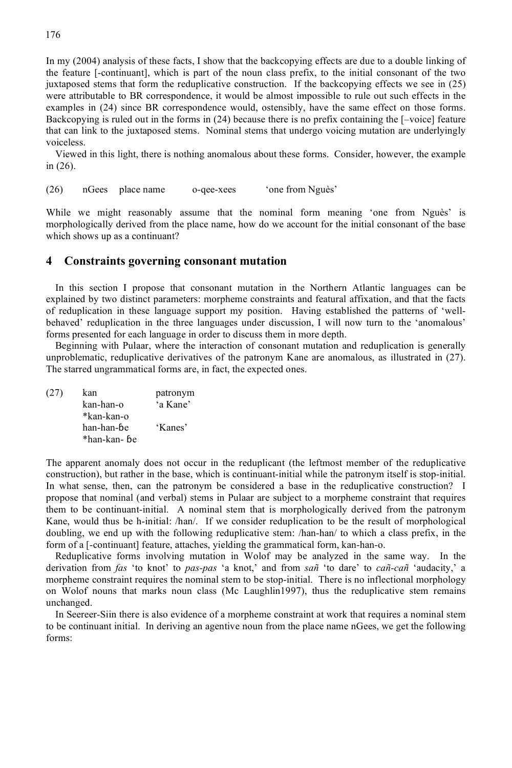In my (2004) analysis of these facts, I show that the backcopying effects are due to a double linking of the feature [-continuant], which is part of the noun class prefix, to the initial consonant of the two juxtaposed stems that form the reduplicative construction. If the backcopying effects we see in (25) were attributable to BR correspondence, it would be almost impossible to rule out such effects in the examples in (24) since BR correspondence would, ostensibly, have the same effect on those forms. Backcopying is ruled out in the forms in (24) because there is no prefix containing the [–voice] feature that can link to the juxtaposed stems. Nominal stems that undergo voicing mutation are underlyingly voiceless.

Viewed in this light, there is nothing anomalous about these forms. Consider, however, the example in (26).

(26) nGees place name o-qee-xees 'one from Nguès'

While we might reasonably assume that the nominal form meaning 'one from Nguès' is morphologically derived from the place name, how do we account for the initial consonant of the base which shows up as a continuant?

#### **4 Constraints governing consonant mutation**

In this section I propose that consonant mutation in the Northern Atlantic languages can be explained by two distinct parameters: morpheme constraints and featural affixation, and that the facts of reduplication in these language support my position. Having established the patterns of 'wellbehaved' reduplication in the three languages under discussion, I will now turn to the 'anomalous' forms presented for each language in order to discuss them in more depth.

Beginning with Pulaar, where the interaction of consonant mutation and reduplication is generally unproblematic, reduplicative derivatives of the patronym Kane are anomalous, as illustrated in (27). The starred ungrammatical forms are, in fact, the expected ones.

| (27) | kan          | patronym |
|------|--------------|----------|
|      | kan-han-o    | 'a Kane' |
|      | *kan-kan-o   |          |
|      | han-han-be   | 'Kanes'  |
|      | *han-kan- ɓe |          |

The apparent anomaly does not occur in the reduplicant (the leftmost member of the reduplicative construction), but rather in the base, which is continuant-initial while the patronym itself is stop-initial. In what sense, then, can the patronym be considered a base in the reduplicative construction? I propose that nominal (and verbal) stems in Pulaar are subject to a morpheme constraint that requires them to be continuant-initial. A nominal stem that is morphologically derived from the patronym Kane, would thus be h-initial: /han/. If we consider reduplication to be the result of morphological doubling, we end up with the following reduplicative stem: /han-han/ to which a class prefix, in the form of a [-continuant] feature, attaches, yielding the grammatical form, kan-han-o.

Reduplicative forms involving mutation in Wolof may be analyzed in the same way. In the derivation from *fas* 'to knot' to *pas-pas* 'a knot,' and from *sañ* 'to dare' to *cañ-cañ* 'audacity,' a morpheme constraint requires the nominal stem to be stop-initial. There is no inflectional morphology on Wolof nouns that marks noun class (Mc Laughlin1997), thus the reduplicative stem remains unchanged.

In Seereer-Siin there is also evidence of a morpheme constraint at work that requires a nominal stem to be continuant initial. In deriving an agentive noun from the place name nGees, we get the following forms: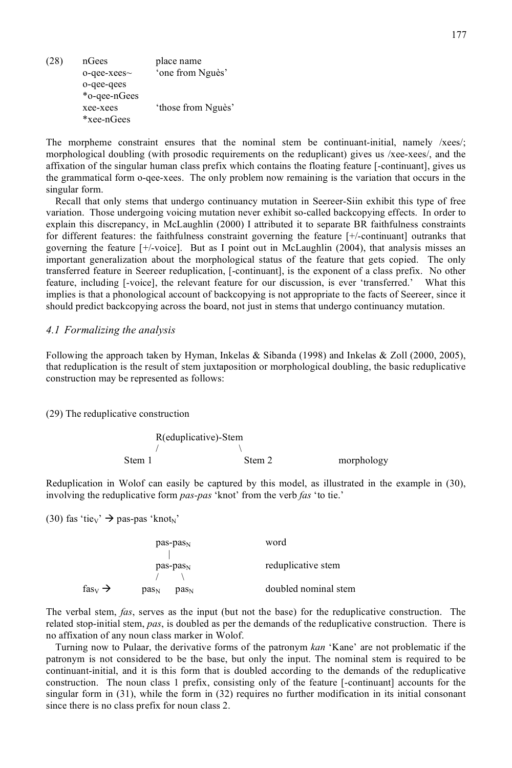(28) nGees place name o-qee-xees~ 'one from Nguès' o-qee-qees \*o-qee-nGees xee-xees 'those from Nguès' \*xee-nGees

The morpheme constraint ensures that the nominal stem be continuant-initial, namely /xees/; morphological doubling (with prosodic requirements on the reduplicant) gives us /xee-xees/, and the affixation of the singular human class prefix which contains the floating feature [-continuant], gives us the grammatical form o-qee-xees. The only problem now remaining is the variation that occurs in the singular form.

Recall that only stems that undergo continuancy mutation in Seereer-Siin exhibit this type of free variation. Those undergoing voicing mutation never exhibit so-called backcopying effects. In order to explain this discrepancy, in McLaughlin (2000) I attributed it to separate BR faithfulness constraints for different features: the faithfulness constraint governing the feature [+/-continuant] outranks that governing the feature [+/-voice]. But as I point out in McLaughlin (2004), that analysis misses an important generalization about the morphological status of the feature that gets copied. The only transferred feature in Seereer reduplication, [-continuant], is the exponent of a class prefix. No other feature, including [-voice], the relevant feature for our discussion, is ever 'transferred.' What this implies is that a phonological account of backcopying is not appropriate to the facts of Seereer, since it should predict backcopying across the board, not just in stems that undergo continuancy mutation.

#### *4.1 Formalizing the analysis*

Following the approach taken by Hyman, Inkelas & Sibanda (1998) and Inkelas & Zoll (2000, 2005), that reduplication is the result of stem juxtaposition or morphological doubling, the basic reduplicative construction may be represented as follows:

(29) The reduplicative construction

R(eduplicative)-Stem /  $\sqrt{ }$ Stem 1 Stem 2 morphology

Reduplication in Wolof can easily be captured by this model, as illustrated in the example in (30), involving the reduplicative form *pas-pas* 'knot' from the verb *fas* 'to tie.'

(30) fas 'tie<sub>V</sub>'  $\rightarrow$  pas-pas 'knot<sub>N</sub>'

|                                | $pas-pasN$                           | word                 |  |
|--------------------------------|--------------------------------------|----------------------|--|
|                                | $pas-pasN$                           | reduplicative stem   |  |
| fas <sub>v</sub> $\rightarrow$ | pas <sub>N</sub><br>pas <sub>N</sub> | doubled nominal stem |  |

The verbal stem, *fas*, serves as the input (but not the base) for the reduplicative construction. The related stop-initial stem, *pas*, is doubled as per the demands of the reduplicative construction. There is no affixation of any noun class marker in Wolof.

Turning now to Pulaar, the derivative forms of the patronym *kan* 'Kane' are not problematic if the patronym is not considered to be the base, but only the input. The nominal stem is required to be continuant-initial, and it is this form that is doubled according to the demands of the reduplicative construction. The noun class 1 prefix, consisting only of the feature [-continuant] accounts for the singular form in (31), while the form in (32) requires no further modification in its initial consonant since there is no class prefix for noun class 2.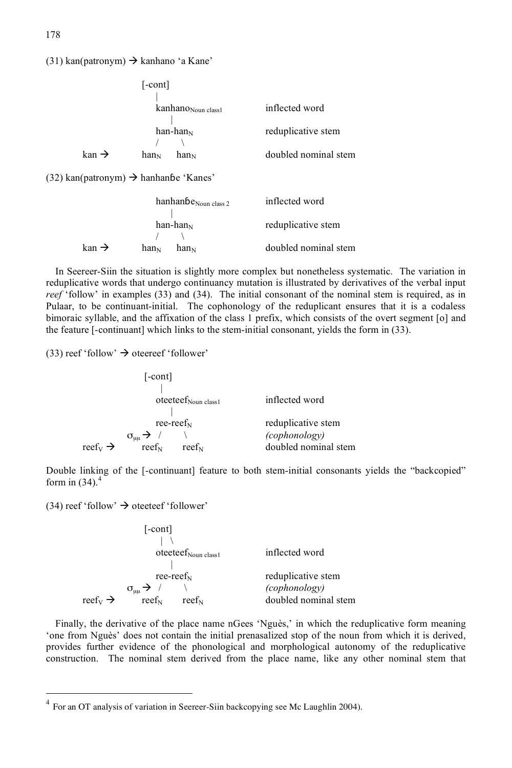(31) kan(patronym)  $\rightarrow$  kanhano 'a Kane'

|                            | $[-\text{cont}]$                                                                                                          |                      |
|----------------------------|---------------------------------------------------------------------------------------------------------------------------|----------------------|
|                            | kanhano <sub>Noun class1</sub>                                                                                            | inflected word       |
|                            | han-han $_N$                                                                                                              | reduplicative stem   |
| $\mathrm{kan} \rightarrow$ | han <sub>N</sub><br>han <sub>N</sub>                                                                                      | doubled nominal stem |
|                            | $\mathcal{L}$ and $\mathcal{L}$ and $\mathcal{L}$ and $\mathcal{L}$ and $\mathcal{L}$ and $\mathcal{L}$ and $\mathcal{L}$ |                      |

 $(32)$  kan(patronym)  $\rightarrow$  hanhanbe 'Kanes'

|                            | $hanhanbe_{\text{Noun class }2}$     | inflected word       |
|----------------------------|--------------------------------------|----------------------|
|                            |                                      |                      |
|                            | $han-han_N$                          | reduplicative stem   |
|                            |                                      |                      |
| $\mathrm{kan} \rightarrow$ | han <sub>N</sub><br>han <sub>N</sub> | doubled nominal stem |

In Seereer-Siin the situation is slightly more complex but nonetheless systematic. The variation in reduplicative words that undergo continuancy mutation is illustrated by derivatives of the verbal input *reef* 'follow' in examples (33) and (34). The initial consonant of the nominal stem is required, as in Pulaar, to be continuant-initial. The cophonology of the reduplicant ensures that it is a codaless bimoraic syllable, and the affixation of the class 1 prefix, which consists of the overt segment [o] and the feature [-continuant] which links to the stem-initial consonant, yields the form in (33).

(33) reef 'follow'  $\rightarrow$  oteereef 'follower'

|                                 | $[-\text{cont}]$                                          |                                       |
|---------------------------------|-----------------------------------------------------------|---------------------------------------|
|                                 | $oteetef_{\text{Noun class1}}$                            | inflected word                        |
|                                 | ree-reef $_N$                                             | reduplicative stem                    |
| reef <sub>v</sub> $\rightarrow$ | $\sigma_{\mu\mu} \rightarrow$ /<br>$ref_{N}$<br>$ref_{N}$ | (cophonology)<br>doubled nominal stem |

Double linking of the [-continuant] feature to both stem-initial consonants yields the "backcopied" form in  $(34)$ .<sup>4</sup>

(34) reef 'follow'  $\rightarrow$  oteeteef 'follower'

|                                 | $[-\text{cont}]$                |                      |
|---------------------------------|---------------------------------|----------------------|
|                                 |                                 |                      |
|                                 | $otectef_{\text{Noun class }1}$ | inflected word       |
|                                 | $ree-reefN$                     | reduplicative stem   |
|                                 | $\sigma_{\mu\mu} \rightarrow /$ | (cophonology)        |
| reef <sub>v</sub> $\rightarrow$ | $ref_{N}$<br>$ref_{N}$          | doubled nominal stem |

Finally, the derivative of the place name nGees 'Nguès,' in which the reduplicative form meaning 'one from Nguès' does not contain the initial prenasalized stop of the noun from which it is derived, provides further evidence of the phonological and morphological autonomy of the reduplicative construction. The nominal stem derived from the place name, like any other nominal stem that

 $4$  For an OT analysis of variation in Seereer-Siin backcopying see Mc Laughlin 2004).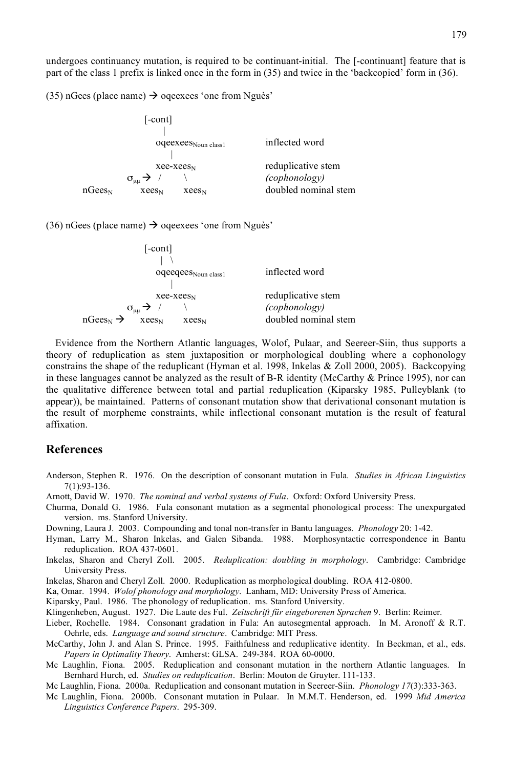undergoes continuancy mutation, is required to be continuant-initial. The [-continuant] feature that is part of the class 1 prefix is linked once in the form in (35) and twice in the 'backcopied' form in (36).

(35) nGees (place name)  $\rightarrow$  ogeexees 'one from Nguès'

|             | $[-\text{cont}]$                |                          |                                     |
|-------------|---------------------------------|--------------------------|-------------------------------------|
|             |                                 | $oqeexees_{Noun class1}$ | inflected word                      |
|             | $\sigma_{\mu\mu} \rightarrow /$ | $xee-xees_N$             | reduplicative stem<br>(cophonology) |
| $nGees_{N}$ | $x$ ees $N$                     | <b>Xees</b> <sub>N</sub> | doubled nominal stem                |

(36) nGees (place name)  $\rightarrow$  oqeexees 'one from Nguès'

| $[-\text{cont}]$                                 |                      |
|--------------------------------------------------|----------------------|
|                                                  |                      |
| oqeeqees <sub>Noun class1</sub>                  | inflected word       |
|                                                  |                      |
| $xee-xees_N$                                     | reduplicative stem   |
| $\sigma_{\mu\mu} \rightarrow /$                  | (cophonology)        |
| $nGees_N \rightarrow$<br>$xees_N$<br>$x$ ees $N$ | doubled nominal stem |

Evidence from the Northern Atlantic languages, Wolof, Pulaar, and Seereer-Siin, thus supports a theory of reduplication as stem juxtaposition or morphological doubling where a cophonology constrains the shape of the reduplicant (Hyman et al. 1998, Inkelas & Zoll 2000, 2005). Backcopying in these languages cannot be analyzed as the result of B-R identity (McCarthy  $&$  Prince 1995), nor can the qualitative difference between total and partial reduplication (Kiparsky 1985, Pulleyblank (to appear)), be maintained. Patterns of consonant mutation show that derivational consonant mutation is the result of morpheme constraints, while inflectional consonant mutation is the result of featural affixation.

#### **References**

- Anderson, Stephen R. 1976. On the description of consonant mutation in Fula. *Studies in African Linguistics* 7(1):93-136.
- Arnott, David W. 1970. *The nominal and verbal systems of Fula*. Oxford: Oxford University Press.
- Churma, Donald G. 1986. Fula consonant mutation as a segmental phonological process: The unexpurgated version. ms. Stanford University.
- Downing, Laura J. 2003. Compounding and tonal non-transfer in Bantu languages. *Phonology* 20: 1-42.
- Hyman, Larry M., Sharon Inkelas, and Galen Sibanda. 1988. Morphosyntactic correspondence in Bantu reduplication. ROA 437-0601.
- Inkelas, Sharon and Cheryl Zoll. 2005. *Reduplication: doubling in morphology*. Cambridge: Cambridge University Press.

Inkelas, Sharon and Cheryl Zoll. 2000. Reduplication as morphological doubling. ROA 412-0800.

Ka, Omar. 1994. *Wolof phonology and morphology*. Lanham, MD: University Press of America.

Kiparsky, Paul. 1986. The phonology of reduplication. ms. Stanford University.

Klingenheben, August. 1927. Die Laute des Ful. *Zeitschrift für eingeborenen Sprachen* 9. Berlin: Reimer.

- Lieber, Rochelle. 1984. Consonant gradation in Fula: An autosegmental approach. In M. Aronoff & R.T. Oehrle, eds. *Language and sound structure*. Cambridge: MIT Press.
- McCarthy, John J. and Alan S. Prince. 1995. Faithfulness and reduplicative identity. In Beckman, et al., eds. *Papers in Optimality Theory*. Amherst: GLSA. 249-384. ROA 60-0000.
- Mc Laughlin, Fiona. 2005. Reduplication and consonant mutation in the northern Atlantic languages. In Bernhard Hurch, ed. *Studies on reduplication*. Berlin: Mouton de Gruyter. 111-133.

Mc Laughlin, Fiona. 2000a. Reduplication and consonant mutation in Seereer-Siin. *Phonology 17*(3):333-363.

Mc Laughlin, Fiona. 2000b. Consonant mutation in Pulaar. In M.M.T. Henderson, ed. 1999 *Mid America Linguistics Conference Papers*. 295-309.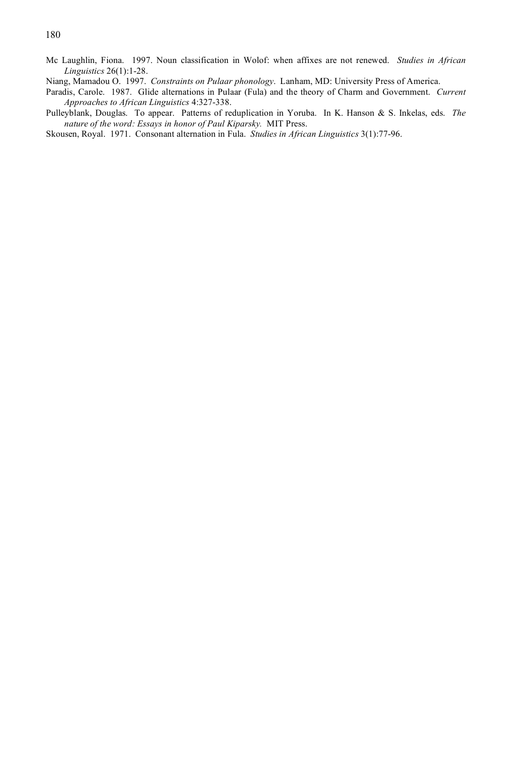- Mc Laughlin, Fiona. 1997. Noun classification in Wolof: when affixes are not renewed. *Studies in African Linguistics* 26(1):1-28.
- Niang, Mamadou O. 1997. *Constraints on Pulaar phonology*. Lanham, MD: University Press of America.
- Paradis, Carole. 1987. Glide alternations in Pulaar (Fula) and the theory of Charm and Government. *Current Approaches to African Linguistics* 4:327-338.
- Pulleyblank, Douglas. To appear. Patterns of reduplication in Yoruba. In K. Hanson & S. Inkelas, eds. *The nature of the word: Essays in honor of Paul Kiparsky.* MIT Press.
- Skousen, Royal. 1971. Consonant alternation in Fula. *Studies in African Linguistics* 3(1):77-96.